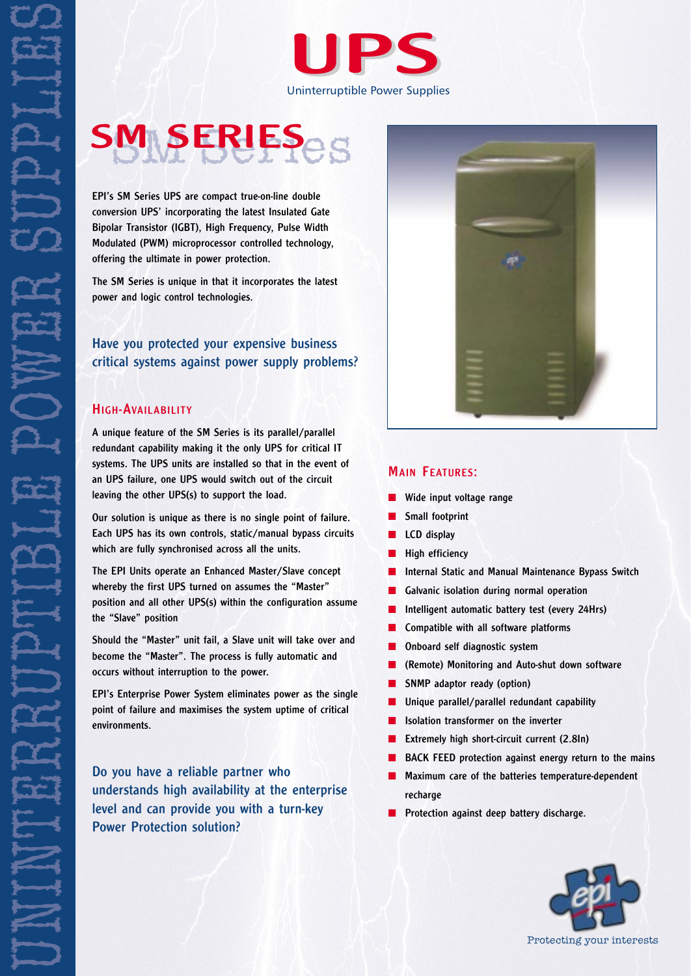

# SM SERIES<sub>es</sub>

conversion UPS' incorporating the latest Insulated Gate Bipolar Transistor (IGBT), High Frequency, Pulse Width Modulated (PWM) microprocessor controlled technology, offering the ultimate in power protection.

The SM Series is unique in that it incorporates the latest power and logic control technologies.

Have you protected your expensive business critical systems against power supply problems?

### HIGH-AVAILABILITY

A unique feature of the SM Series is its parallel/parallel redundant capability making it the only UPS for critical IT systems. The UPS units are installed so that in the event of an UPS failure, one UPS would switch out of the circuit leaving the other UPS(s) to support the load.

Our solution is unique as there is no single point of failure. Each UPS has its own controls, static/manual bypass circuits which are fully synchronised across all the units.

The EPI Units operate an Enhanced Master/Slave concept whereby the first UPS turned on assumes the "Master" position and all other UPS(s) within the configuration assume the "Slave" position

Should the "Master" unit fail, a Slave unit will take over and become the "Master". The process is fully automatic and occurs without interruption to the power.

EPI's Enterprise Power System eliminates power as the single point of failure and maximises the system uptime of critical environments.

Do you have a reliable partner who understands high availability at the enterprise level and can provide you with a turn-key Power Protection solution?



#### MAIN FEATURES:

- Wide input voltage range
- Small footprint
- LCD display
- High efficiency
- Internal Static and Manual Maintenance Bypass Switch
- Galvanic isolation during normal operation
- Intelligent automatic battery test (every 24Hrs)
- Compatible with all software platforms
- Onboard self diagnostic system
- (Remote) Monitoring and Auto-shut down software
- SNMP adaptor ready (option)
- Unique parallel/parallel redundant capability
- Isolation transformer on the inverter
- Extremely high short-circuit current (2.8In)
- BACK FEED protection against energy return to the mains
- Maximum care of the batteries temperature-dependent recharge
- Protection against deep battery discharge.